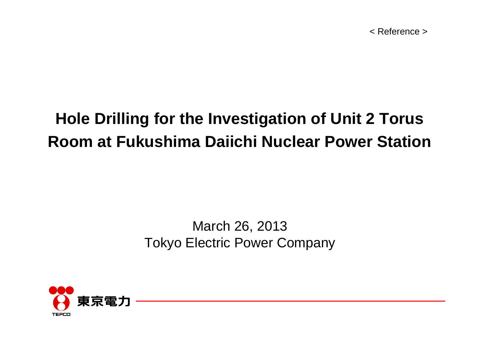< Reference >

### **Hole Drilling for the Investigation of Unit 2 Torus Room at Fukushima Daiichi Nuclear Power Station**

### March 26, 2013 Tokyo Electric Power Company

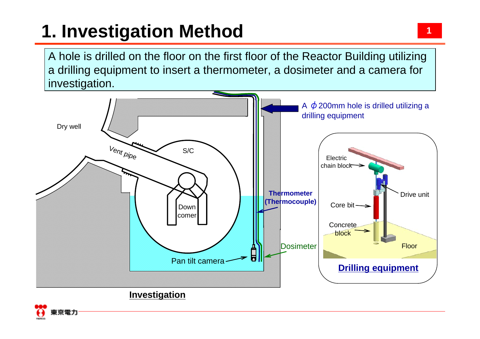# **1. Investigation Method**

A hole is drilled on the floor on the first floor of the Reactor Building utilizing a drilling equipment to insert a thermometer, a dosimeter and a camera for investigation.





1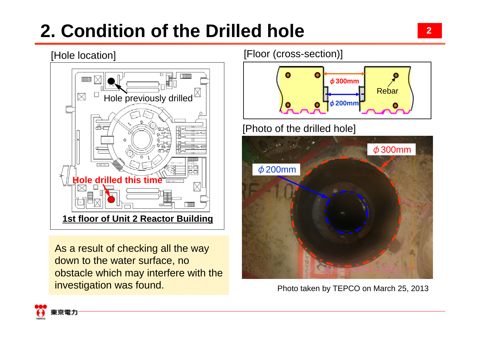# **2. Condition of the Drilled hole**



As a result of checking all the way down to the water surface, no obstacle which may interfere with the investigation was found.

[Floor (cross-section)]



[Photo of the drilled hole]



Photo taken by TEPCO on March 25, 2013